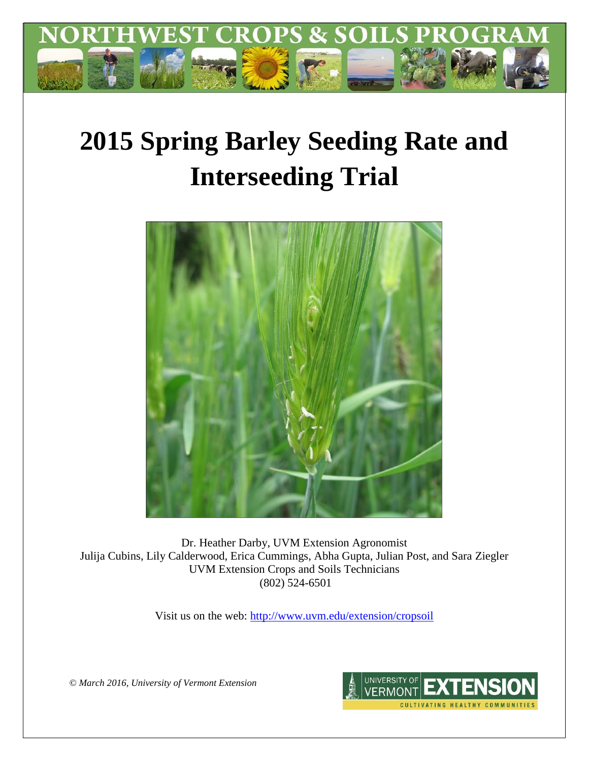

# **2015 Spring Barley Seeding Rate and Interseeding Trial**



Dr. Heather Darby, UVM Extension Agronomist Julija Cubins, Lily Calderwood, Erica Cummings, Abha Gupta, Julian Post, and Sara Ziegler UVM Extension Crops and Soils Technicians (802) 524-6501

Visit us on the web:<http://www.uvm.edu/extension/cropsoil>

*© March 2016, University of Vermont Extension*

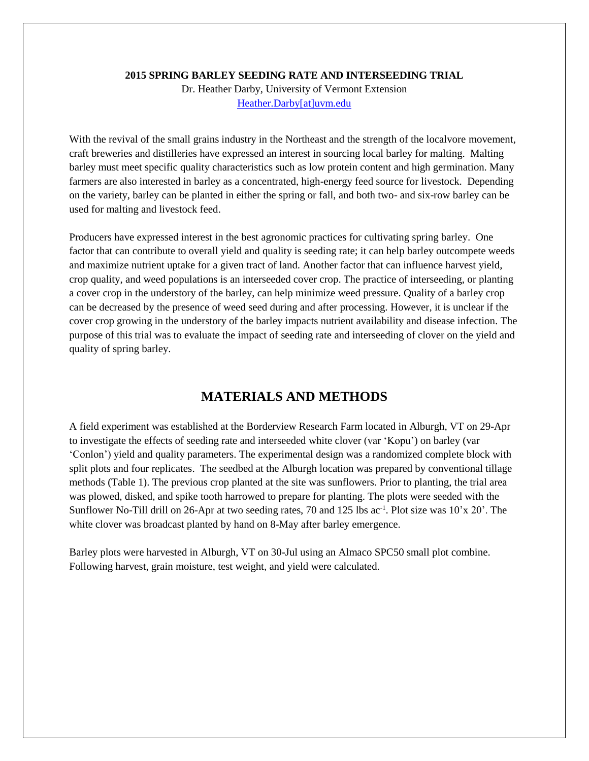#### **2015 SPRING BARLEY SEEDING RATE AND INTERSEEDING TRIAL**

Dr. Heather Darby, University of Vermont Extension [Heather.Darby\[at\]uvm.edu](mailto:Heather.Darby@uvm.edu)

With the revival of the small grains industry in the Northeast and the strength of the localvore movement, craft breweries and distilleries have expressed an interest in sourcing local barley for malting. Malting barley must meet specific quality characteristics such as low protein content and high germination. Many farmers are also interested in barley as a concentrated, high-energy feed source for livestock. Depending on the variety, barley can be planted in either the spring or fall, and both two- and six-row barley can be used for malting and livestock feed.

Producers have expressed interest in the best agronomic practices for cultivating spring barley. One factor that can contribute to overall yield and quality is seeding rate; it can help barley outcompete weeds and maximize nutrient uptake for a given tract of land. Another factor that can influence harvest yield, crop quality, and weed populations is an interseeded cover crop. The practice of interseeding, or planting a cover crop in the understory of the barley, can help minimize weed pressure. Quality of a barley crop can be decreased by the presence of weed seed during and after processing. However, it is unclear if the cover crop growing in the understory of the barley impacts nutrient availability and disease infection. The purpose of this trial was to evaluate the impact of seeding rate and interseeding of clover on the yield and quality of spring barley.

### **MATERIALS AND METHODS**

A field experiment was established at the Borderview Research Farm located in Alburgh, VT on 29-Apr to investigate the effects of seeding rate and interseeded white clover (var 'Kopu') on barley (var 'Conlon') yield and quality parameters. The experimental design was a randomized complete block with split plots and four replicates. The seedbed at the Alburgh location was prepared by conventional tillage methods (Table 1). The previous crop planted at the site was sunflowers. Prior to planting, the trial area was plowed, disked, and spike tooth harrowed to prepare for planting. The plots were seeded with the Sunflower No-Till drill on 26-Apr at two seeding rates, 70 and 125 lbs ac<sup>-1</sup>. Plot size was 10'x 20'. The white clover was broadcast planted by hand on 8-May after barley emergence.

Barley plots were harvested in Alburgh, VT on 30-Jul using an Almaco SPC50 small plot combine. Following harvest, grain moisture, test weight, and yield were calculated.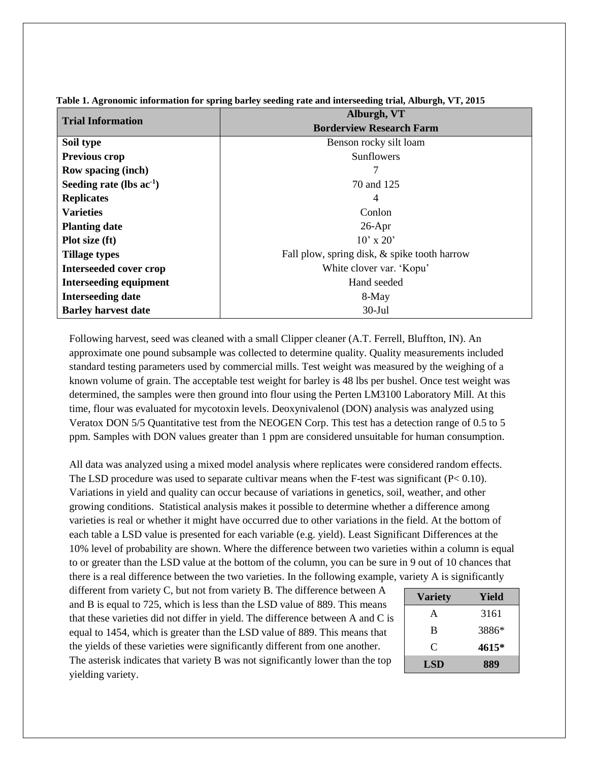| <b>Trial Information</b>      | Alburgh, VT                                  |  |  |  |
|-------------------------------|----------------------------------------------|--|--|--|
|                               | <b>Borderview Research Farm</b>              |  |  |  |
| Soil type                     | Benson rocky silt loam                       |  |  |  |
| <b>Previous crop</b>          | Sunflowers                                   |  |  |  |
| <b>Row spacing (inch)</b>     |                                              |  |  |  |
| Seeding rate (lbs $ac^{-1}$ ) | 70 and 125                                   |  |  |  |
| <b>Replicates</b>             | 4                                            |  |  |  |
| <b>Varieties</b>              | Conlon                                       |  |  |  |
| <b>Planting date</b>          | $26$ -Apr                                    |  |  |  |
| Plot size (ft)                | $10'$ x $20'$                                |  |  |  |
| <b>Tillage types</b>          | Fall plow, spring disk, & spike tooth harrow |  |  |  |
| Interseeded cover crop        | White clover var. 'Kopu'                     |  |  |  |
| <b>Interseeding equipment</b> | Hand seeded                                  |  |  |  |
| <b>Interseeding date</b>      | 8-May                                        |  |  |  |
| <b>Barley harvest date</b>    | $30$ -Jul                                    |  |  |  |

**Table 1. Agronomic information for spring barley seeding rate and interseeding trial, Alburgh, VT, 2015**

Following harvest, seed was cleaned with a small Clipper cleaner (A.T. Ferrell, Bluffton, IN). An approximate one pound subsample was collected to determine quality. Quality measurements included standard testing parameters used by commercial mills. Test weight was measured by the weighing of a known volume of grain. The acceptable test weight for barley is 48 lbs per bushel. Once test weight was determined, the samples were then ground into flour using the Perten LM3100 Laboratory Mill. At this time, flour was evaluated for mycotoxin levels. Deoxynivalenol (DON) analysis was analyzed using Veratox DON 5/5 Quantitative test from the NEOGEN Corp. This test has a detection range of 0.5 to 5 ppm. Samples with DON values greater than 1 ppm are considered unsuitable for human consumption.

All data was analyzed using a mixed model analysis where replicates were considered random effects. The LSD procedure was used to separate cultivar means when the F-test was significant  $(P< 0.10)$ . Variations in yield and quality can occur because of variations in genetics, soil, weather, and other growing conditions. Statistical analysis makes it possible to determine whether a difference among varieties is real or whether it might have occurred due to other variations in the field. At the bottom of each table a LSD value is presented for each variable (e.g. yield). Least Significant Differences at the 10% level of probability are shown. Where the difference between two varieties within a column is equal to or greater than the LSD value at the bottom of the column, you can be sure in 9 out of 10 chances that there is a real difference between the two varieties. In the following example, variety A is significantly

different from variety C, but not from variety B. The difference between A and B is equal to 725, which is less than the LSD value of 889. This means that these varieties did not differ in yield. The difference between A and C is equal to 1454, which is greater than the LSD value of 889. This means that the yields of these varieties were significantly different from one another. The asterisk indicates that variety B was not significantly lower than the top yielding variety.

| <b>Variety</b> | Yield |  |  |
|----------------|-------|--|--|
| A              | 3161  |  |  |
| B              | 3886* |  |  |
| C              | 4615* |  |  |
| <b>LSD</b>     | 889   |  |  |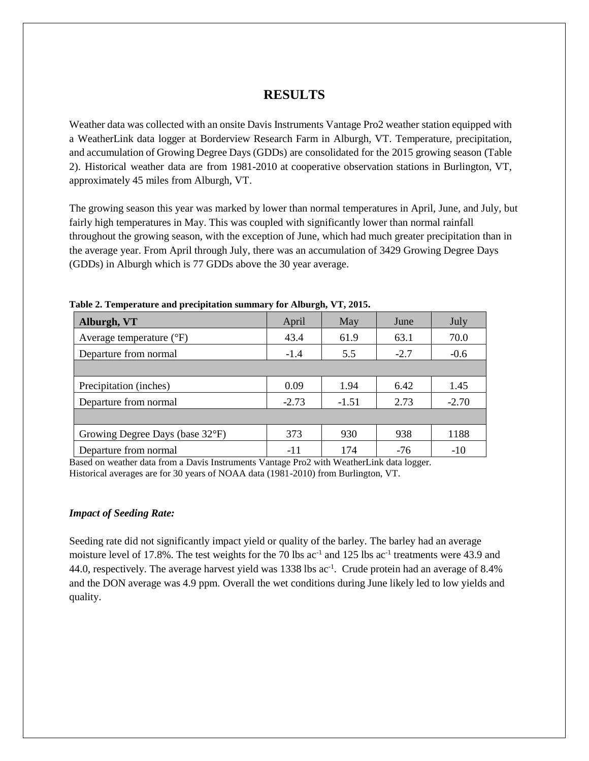# **RESULTS**

Weather data was collected with an onsite Davis Instruments Vantage Pro2 weather station equipped with a WeatherLink data logger at Borderview Research Farm in Alburgh, VT. Temperature, precipitation, and accumulation of Growing Degree Days (GDDs) are consolidated for the 2015 growing season (Table 2). Historical weather data are from 1981-2010 at cooperative observation stations in Burlington, VT, approximately 45 miles from Alburgh, VT.

The growing season this year was marked by lower than normal temperatures in April, June, and July, but fairly high temperatures in May. This was coupled with significantly lower than normal rainfall throughout the growing season, with the exception of June, which had much greater precipitation than in the average year. From April through July, there was an accumulation of 3429 Growing Degree Days (GDDs) in Alburgh which is 77 GDDs above the 30 year average.

| Alburgh, VT                       | April   | May     | June   | July    |
|-----------------------------------|---------|---------|--------|---------|
| Average temperature $(^{\circ}F)$ | 43.4    | 61.9    | 63.1   | 70.0    |
| Departure from normal             | $-1.4$  | 5.5     | $-2.7$ | $-0.6$  |
|                                   |         |         |        |         |
| Precipitation (inches)            | 0.09    | 1.94    | 6.42   | 1.45    |
| Departure from normal             | $-2.73$ | $-1.51$ | 2.73   | $-2.70$ |
|                                   |         |         |        |         |
| Growing Degree Days (base 32°F)   | 373     | 930     | 938    | 1188    |
| Departure from normal             | -11     | 174     | $-76$  | $-10$   |

**Table 2. Temperature and precipitation summary for Alburgh, VT, 2015.**

Based on weather data from a Davis Instruments Vantage Pro2 with WeatherLink data logger. Historical averages are for 30 years of NOAA data (1981-2010) from Burlington, VT.

#### *Impact of Seeding Rate:*

Seeding rate did not significantly impact yield or quality of the barley. The barley had an average moisture level of 17.8%. The test weights for the 70 lbs  $ac^{-1}$  and 125 lbs  $ac^{-1}$  treatments were 43.9 and 44.0, respectively. The average harvest yield was 1338 lbs ac<sup>-1</sup>. Crude protein had an average of 8.4% and the DON average was 4.9 ppm. Overall the wet conditions during June likely led to low yields and quality.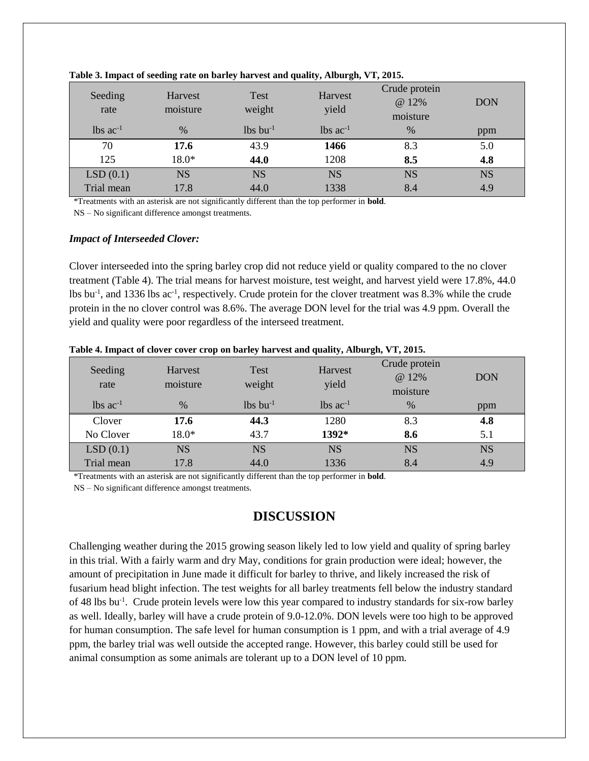| Seeding<br>rate        | Harvest<br>moisture | <b>Test</b><br>weight  | Harvest<br>yield       | Crude protein<br>@ 12%<br>moisture | <b>DON</b> |
|------------------------|---------------------|------------------------|------------------------|------------------------------------|------------|
| $lbs$ ac <sup>-1</sup> | $\%$                | $lbs$ bu <sup>-1</sup> | $lbs$ ac <sup>-1</sup> | $\%$                               | ppm        |
| 70                     | 17.6                | 43.9                   | 1466                   | 8.3                                | 5.0        |
| 125                    | $18.0*$             | 44.0                   | 1208                   | 8.5                                | 4.8        |
| LSD(0.1)               | <b>NS</b>           | <b>NS</b>              | <b>NS</b>              | <b>NS</b>                          | <b>NS</b>  |
| Trial mean             | 17.8                | 44.0                   | 1338                   | 8.4                                | 4.9        |

#### **Table 3. Impact of seeding rate on barley harvest and quality, Alburgh, VT, 2015.**

\*Treatments with an asterisk are not significantly different than the top performer in **bold**.

NS – No significant difference amongst treatments.

#### *Impact of Interseeded Clover:*

Clover interseeded into the spring barley crop did not reduce yield or quality compared to the no clover treatment (Table 4). The trial means for harvest moisture, test weight, and harvest yield were 17.8%, 44.0 lbs bu<sup>-1</sup>, and 1336 lbs ac<sup>-1</sup>, respectively. Crude protein for the clover treatment was 8.3% while the crude protein in the no clover control was 8.6%. The average DON level for the trial was 4.9 ppm. Overall the yield and quality were poor regardless of the interseed treatment.

| Seeding<br>rate         | Harvest<br>moisture | <b>Test</b><br>weight  | Harvest<br>yield       | Crude protein<br>@ 12%<br>moisture | <b>DON</b> |
|-------------------------|---------------------|------------------------|------------------------|------------------------------------|------------|
| $1b$ s ac <sup>-1</sup> | $\%$                | $lbs$ bu <sup>-1</sup> | $lbs$ ac <sup>-1</sup> | $\%$                               | ppm        |
| Clover                  | 17.6                | 44.3                   | 1280                   | 8.3                                | 4.8        |
| No Clover               | 18.0*               | 43.7                   | 1392*                  | 8.6                                | 5.1        |
| LSD(0.1)                | <b>NS</b>           | <b>NS</b>              | <b>NS</b>              | <b>NS</b>                          | <b>NS</b>  |
| Trial mean              | 17.8                | 44.0                   | 1336                   | 8.4                                | 4.9        |

**Table 4. Impact of clover cover crop on barley harvest and quality, Alburgh, VT, 2015.**

\*Treatments with an asterisk are not significantly different than the top performer in **bold**.

NS – No significant difference amongst treatments.

# **DISCUSSION**

Challenging weather during the 2015 growing season likely led to low yield and quality of spring barley in this trial. With a fairly warm and dry May, conditions for grain production were ideal; however, the amount of precipitation in June made it difficult for barley to thrive, and likely increased the risk of fusarium head blight infection. The test weights for all barley treatments fell below the industry standard of 48 lbs bu<sup>-1</sup>. Crude protein levels were low this year compared to industry standards for six-row barley as well. Ideally, barley will have a crude protein of 9.0-12.0%. DON levels were too high to be approved for human consumption. The safe level for human consumption is 1 ppm, and with a trial average of 4.9 ppm, the barley trial was well outside the accepted range. However, this barley could still be used for animal consumption as some animals are tolerant up to a DON level of 10 ppm.